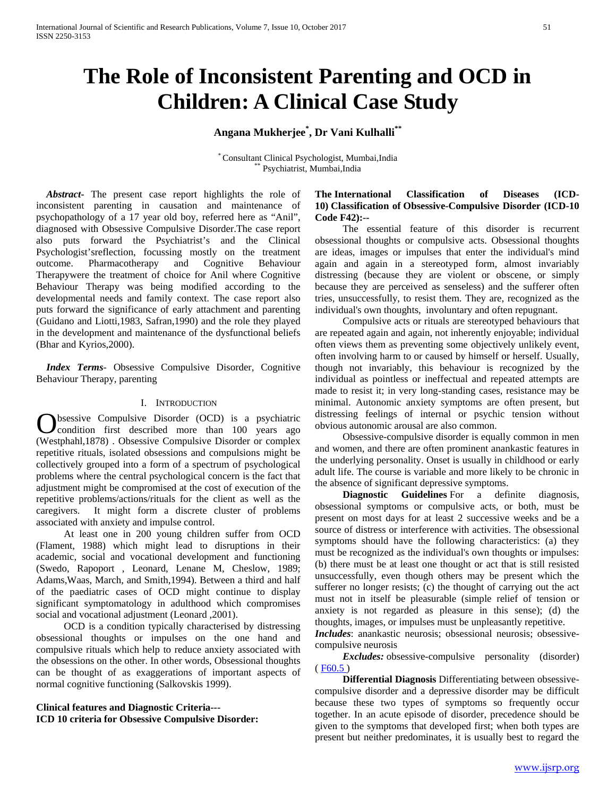# **The Role of Inconsistent Parenting and OCD in Children: A Clinical Case Study**

# **Angana Mukherjee\* , Dr Vani Kulhalli\*\***

\* Consultant Clinical Psychologist, Mumbai,India \*\* Psychiatrist, Mumbai,India

 *Abstract***-** The present case report highlights the role of inconsistent parenting in causation and maintenance of psychopathology of a 17 year old boy, referred here as "Anil", diagnosed with Obsessive Compulsive Disorder.The case report also puts forward the Psychiatrist's and the Clinical Psychologist'sreflection, focussing mostly on the treatment outcome. Pharmacotherapy and Cognitive Behaviour Therapywere the treatment of choice for Anil where Cognitive Behaviour Therapy was being modified according to the developmental needs and family context. The case report also puts forward the significance of early attachment and parenting (Guidano and Liotti,1983, Safran,1990) and the role they played in the development and maintenance of the dysfunctional beliefs (Bhar and Kyrios,2000).

 *Index Terms*- Obsessive Compulsive Disorder, Cognitive Behaviour Therapy, parenting

#### I. INTRODUCTION

bsessive Compulsive Disorder (OCD) is a psychiatric condition first described more than 100 years ago **C** bsessive Compulsive Disorder (OCD) is a psychiatric condition first described more than 100 years ago (Westphahl, 1878) . Obsessive Compulsive Disorder or complex repetitive rituals, isolated obsessions and compulsions might be collectively grouped into a form of a spectrum of psychological problems where the central psychological concern is the fact that adjustment might be compromised at the cost of execution of the repetitive problems/actions/rituals for the client as well as the caregivers. It might form a discrete cluster of problems associated with anxiety and impulse control.

 At least one in 200 young children suffer from OCD (Flament, 1988) which might lead to disruptions in their academic, social and vocational development and functioning (Swedo, Rapoport , Leonard, Lenane M, Cheslow, 1989; Adams,Waas, March, and Smith,1994). Between a third and half of the paediatric cases of OCD might continue to display significant symptomatology in adulthood which compromises social and vocational adjustment (Leonard ,2001).

 OCD is a condition typically characterised by distressing obsessional thoughts or impulses on the one hand and compulsive rituals which help to reduce anxiety associated with the obsessions on the other. In other words, Obsessional thoughts can be thought of as exaggerations of important aspects of normal cognitive functioning (Salkovskis 1999).

## **Clinical features and Diagnostic Criteria--- ICD 10 criteria for Obsessive Compulsive Disorder:**

## **The International Classification of Diseases (ICD-10) Classification of Obsessive-Compulsive Disorder (ICD-10 Code F42):--**

 The essential feature of this disorder is recurrent obsessional thoughts or compulsive acts. Obsessional thoughts are ideas, images or impulses that enter the individual's mind again and again in a stereotyped form, almost invariably distressing (because they are violent or obscene, or simply because they are perceived as senseless) and the sufferer often tries, unsuccessfully, to resist them. They are, recognized as the individual's own thoughts, involuntary and often repugnant.

 Compulsive acts or rituals are stereotyped behaviours that are repeated again and again, not inherently enjoyable; individual often views them as preventing some objectively unlikely event, often involving harm to or caused by himself or herself. Usually, though not invariably, this behaviour is recognized by the individual as pointless or ineffectual and repeated attempts are made to resist it; in very long-standing cases, resistance may be minimal. Autonomic anxiety symptoms are often present, but distressing feelings of internal or psychic tension without obvious autonomic arousal are also common.

 Obsessive-compulsive disorder is equally common in men and women, and there are often prominent anankastic features in the underlying personality. Onset is usually in childhood or early adult life. The course is variable and more likely to be chronic in the absence of significant depressive symptoms.

 **Diagnostic Guidelines** For a definite diagnosis, obsessional symptoms or compulsive acts, or both, must be present on most days for at least 2 successive weeks and be a source of distress or interference with activities. The obsessional symptoms should have the following characteristics: (a) they must be recognized as the individual's own thoughts or impulses: (b) there must be at least one thought or act that is still resisted unsuccessfully, even though others may be present which the sufferer no longer resists; (c) the thought of carrying out the act must not in itself be pleasurable (simple relief of tension or anxiety is not regarded as pleasure in this sense); (d) the thoughts, images, or impulses must be unpleasantly repetitive.

*Includes*: anankastic neurosis; obsessional neurosis; obsessivecompulsive neurosis

 *Excludes:* obsessive-compulsive personality (disorder)  $(F60.5)$  $(F60.5)$  $(F60.5)$ 

 **Differential Diagnosis** Differentiating between obsessivecompulsive disorder and a depressive disorder may be difficult because these two types of symptoms so frequently occur together. In an acute episode of disorder, precedence should be given to the symptoms that developed first; when both types are present but neither predominates, it is usually best to regard the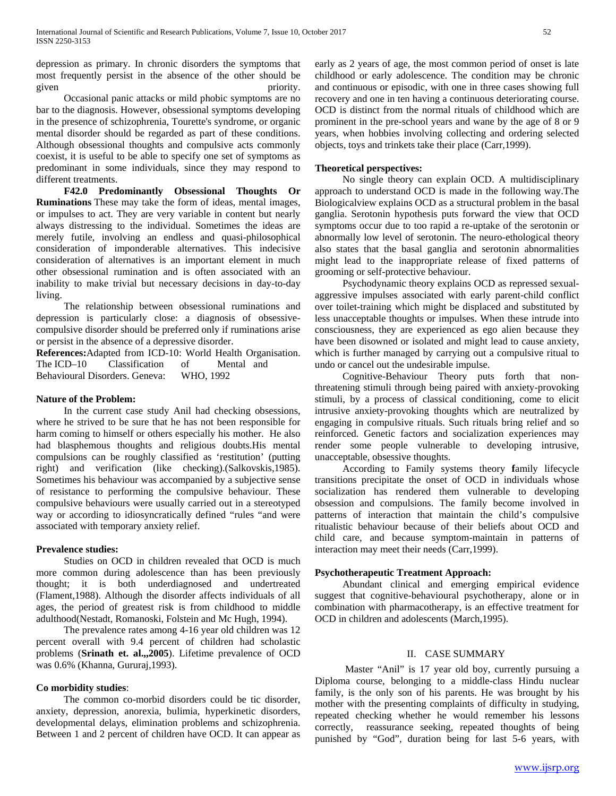depression as primary. In chronic disorders the symptoms that most frequently persist in the absence of the other should be given priority.

 Occasional panic attacks or mild phobic symptoms are no bar to the diagnosis. However, obsessional symptoms developing in the presence of schizophrenia, Tourette's syndrome, or organic mental disorder should be regarded as part of these conditions. Although obsessional thoughts and compulsive acts commonly coexist, it is useful to be able to specify one set of symptoms as predominant in some individuals, since they may respond to different treatments.

 **F42.0 Predominantly Obsessional Thoughts Or Ruminations** These may take the form of ideas, mental images, or impulses to act. They are very variable in content but nearly always distressing to the individual. Sometimes the ideas are merely futile, involving an endless and quasi-philosophical consideration of imponderable alternatives. This indecisive consideration of alternatives is an important element in much other obsessional rumination and is often associated with an inability to make trivial but necessary decisions in day-to-day living.

 The relationship between obsessional ruminations and depression is particularly close: a diagnosis of obsessivecompulsive disorder should be preferred only if ruminations arise or persist in the absence of a depressive disorder.

**References:**Adapted from ICD-10: World Health Organisation.<br>The ICD-10 Classification of Mental and The  $ICD-10$  Classification of Behavioural Disorders. Geneva: WHO, 1992

#### **Nature of the Problem:**

 In the current case study Anil had checking obsessions, where he strived to be sure that he has not been responsible for harm coming to himself or others especially his mother. He also had blasphemous thoughts and religious doubts.His mental compulsions can be roughly classified as 'restitution' (putting right) and verification (like checking).(Salkovskis,1985). Sometimes his behaviour was accompanied by a subjective sense of resistance to performing the compulsive behaviour. These compulsive behaviours were usually carried out in a stereotyped way or according to idiosyncratically defined "rules "and were associated with temporary anxiety relief.

#### **Prevalence studies:**

 Studies on OCD in children revealed that OCD is much more common during adolescence than has been previously thought; it is both underdiagnosed and undertreated (Flament,1988). Although the disorder affects individuals of all ages, the period of greatest risk is from childhood to middle adulthood(Nestadt, Romanoski, Folstein and Mc Hugh, 1994).

 The prevalence rates among 4-16 year old children was 12 percent overall with 9.4 percent of children had scholastic problems (**Srinath et. al.,,2005**). Lifetime prevalence of OCD was 0.6% (Khanna, Gururaj,1993).

## **Co morbidity studies**:

 The common co-morbid disorders could be tic disorder, anxiety, depression, anorexia, bulimia, hyperkinetic disorders, developmental delays, elimination problems and schizophrenia. Between 1 and 2 percent of children have OCD. It can appear as

early as 2 years of age, the most common period of onset is late childhood or early adolescence. The condition may be chronic and continuous or episodic, with one in three cases showing full recovery and one in ten having a continuous deteriorating course. OCD is distinct from the normal rituals of childhood which are prominent in the pre-school years and wane by the age of 8 or 9 years, when hobbies involving collecting and ordering selected objects, toys and trinkets take their place (Carr,1999).

#### **Theoretical perspectives:**

 No single theory can explain OCD. A multidisciplinary approach to understand OCD is made in the following way.The Biologicalview explains OCD as a structural problem in the basal ganglia. Serotonin hypothesis puts forward the view that OCD symptoms occur due to too rapid a re-uptake of the serotonin or abnormally low level of serotonin. The neuro-ethological theory also states that the basal ganglia and serotonin abnormalities might lead to the inappropriate release of fixed patterns of grooming or self-protective behaviour.

 Psychodynamic theory explains OCD as repressed sexualaggressive impulses associated with early parent-child conflict over toilet-training which might be displaced and substituted by less unacceptable thoughts or impulses. When these intrude into consciousness, they are experienced as ego alien because they have been disowned or isolated and might lead to cause anxiety, which is further managed by carrying out a compulsive ritual to undo or cancel out the undesirable impulse.

 Cognitive-Behaviour Theory puts forth that nonthreatening stimuli through being paired with anxiety-provoking stimuli, by a process of classical conditioning, come to elicit intrusive anxiety-provoking thoughts which are neutralized by engaging in compulsive rituals. Such rituals bring relief and so reinforced. Genetic factors and socialization experiences may render some people vulnerable to developing intrusive, unacceptable, obsessive thoughts.

 According to Family systems theory **f**amily lifecycle transitions precipitate the onset of OCD in individuals whose socialization has rendered them vulnerable to developing obsession and compulsions. The family become involved in patterns of interaction that maintain the child's compulsive ritualistic behaviour because of their beliefs about OCD and child care, and because symptom-maintain in patterns of interaction may meet their needs (Carr,1999).

## **Psychotherapeutic Treatment Approach:**

 Abundant clinical and emerging empirical evidence suggest that cognitive-behavioural psychotherapy, alone or in combination with pharmacotherapy, is an effective treatment for OCD in children and adolescents (March,1995).

## II. CASE SUMMARY

 Master "Anil" is 17 year old boy, currently pursuing a Diploma course, belonging to a middle-class Hindu nuclear family, is the only son of his parents. He was brought by his mother with the presenting complaints of difficulty in studying, repeated checking whether he would remember his lessons correctly, reassurance seeking, repeated thoughts of being punished by "God", duration being for last 5-6 years, with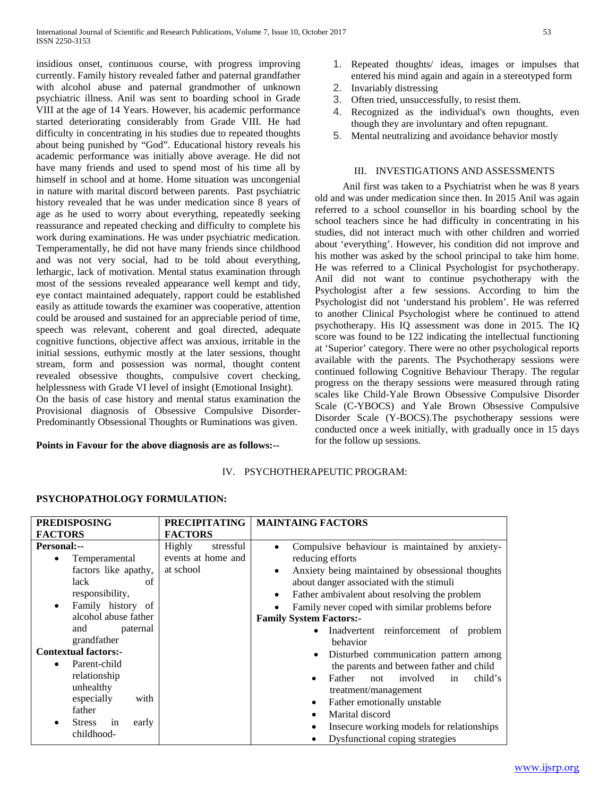insidious onset, continuous course, with progress improving currently. Family history revealed father and paternal grandfather with alcohol abuse and paternal grandmother of unknown psychiatric illness. Anil was sent to boarding school in Grade VIII at the age of 14 Years. However, his academic performance started deteriorating considerably from Grade VIII. He had difficulty in concentrating in his studies due to repeated thoughts about being punished by "God". Educational history reveals his academic performance was initially above average. He did not have many friends and used to spend most of his time all by himself in school and at home. Home situation was uncongenial in nature with marital discord between parents. Past psychiatric history revealed that he was under medication since 8 years of age as he used to worry about everything, repeatedly seeking reassurance and repeated checking and difficulty to complete his work during examinations. He was under psychiatric medication. Temperamentally, he did not have many friends since childhood and was not very social, had to be told about everything, lethargic, lack of motivation. Mental status examination through most of the sessions revealed appearance well kempt and tidy, eye contact maintained adequately, rapport could be established easily as attitude towards the examiner was cooperative, attention could be aroused and sustained for an appreciable period of time, speech was relevant, coherent and goal directed, adequate cognitive functions, objective affect was anxious, irritable in the initial sessions, euthymic mostly at the later sessions, thought stream, form and possession was normal, thought content revealed obsessive thoughts, compulsive covert checking, helplessness with Grade VI level of insight (Emotional Insight). On the basis of case history and mental status examination the Provisional diagnosis of Obsessive Compulsive Disorder-Predominantly Obsessional Thoughts or Ruminations was given.

**Points in Favour for the above diagnosis are as follows:--**

- 1. Repeated thoughts/ ideas, images or impulses that entered his mind again and again in a stereotyped form
- 2. Invariably distressing
- 3. Often tried, unsuccessfully, to resist them.
- 4. Recognized as the individual's own thoughts, even though they are involuntary and often repugnant.
- 5. Mental neutralizing and avoidance behavior mostly

## III. INVESTIGATIONS AND ASSESSMENTS

 Anil first was taken to a Psychiatrist when he was 8 years old and was under medication since then. In 2015 Anil was again referred to a school counsellor in his boarding school by the school teachers since he had difficulty in concentrating in his studies, did not interact much with other children and worried about 'everything'. However, his condition did not improve and his mother was asked by the school principal to take him home. He was referred to a Clinical Psychologist for psychotherapy. Anil did not want to continue psychotherapy with the Psychologist after a few sessions. According to him the Psychologist did not 'understand his problem'. He was referred to another Clinical Psychologist where he continued to attend psychotherapy. His IQ assessment was done in 2015. The IQ score was found to be 122 indicating the intellectual functioning at 'Superior' category. There were no other psychological reports available with the parents. The Psychotherapy sessions were continued following Cognitive Behaviour Therapy. The regular progress on the therapy sessions were measured through rating scales like Child-Yale Brown Obsessive Compulsive Disorder Scale (C-YBOCS) and Yale Brown Obsessive Compulsive Disorder Scale (Y-BOCS).The psychotherapy sessions were conducted once a week initially, with gradually once in 15 days for the follow up sessions.

## IV. PSYCHOTHERAPEUTIC PROGRAM:

| <b>PREDISPOSING</b>            | <b>PRECIPITATING</b> | <b>MAINTAING FACTORS</b>                                      |
|--------------------------------|----------------------|---------------------------------------------------------------|
| <b>FACTORS</b>                 | <b>FACTORS</b>       |                                                               |
| <b>Personal:--</b>             | Highly<br>stressful  | Compulsive behaviour is maintained by anxiety-                |
| Temperamental<br>٠             | events at home and   | reducing efforts                                              |
| factors like apathy,           | at school            | Anxiety being maintained by obsessional thoughts<br>$\bullet$ |
| lack<br>οf                     |                      | about danger associated with the stimuli                      |
| responsibility,                |                      | Father ambivalent about resolving the problem<br>$\bullet$    |
| Family history of<br>$\bullet$ |                      | Family never coped with similar problems before               |
| alcohol abuse father           |                      | <b>Family System Factors:-</b>                                |
| and<br>paternal                |                      | Inadvertent reinforcement of problem<br>$\bullet$             |
| grandfather                    |                      | behavior                                                      |
| <b>Contextual factors:-</b>    |                      | Disturbed communication pattern among<br>٠                    |
| Parent-child                   |                      | the parents and between father and child                      |
| relationship                   |                      | involved<br>Father<br>child's<br>not<br>in                    |
| unhealthy                      |                      | treatment/management                                          |
| especially<br>with             |                      | Father emotionally unstable                                   |
| father                         |                      | Marital discord                                               |
| early<br><b>Stress</b><br>in   |                      | Insecure working models for relationships                     |
| childhood-                     |                      | Dysfunctional coping strategies                               |

## **PSYCHOPATHOLOGY FORMULATION:**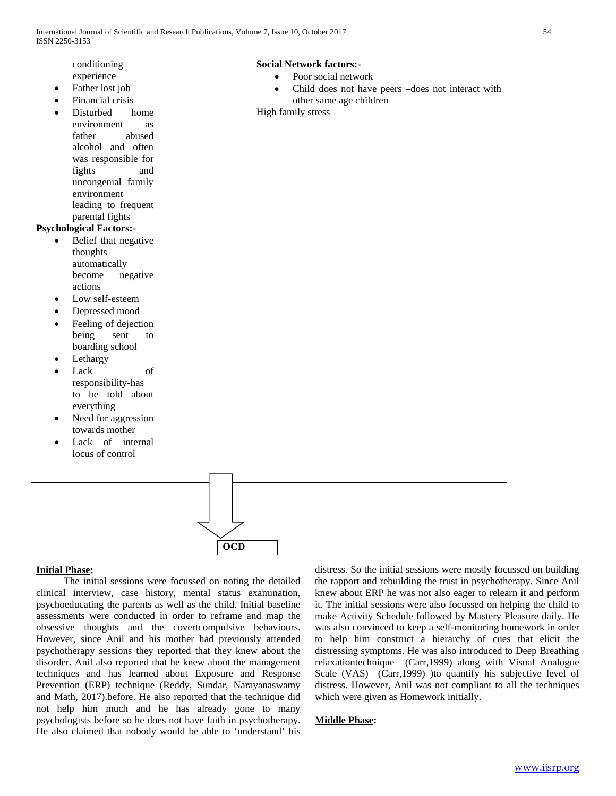| conditioning                      |  | <b>Social Network factors:-</b>                                |  |
|-----------------------------------|--|----------------------------------------------------------------|--|
| experience                        |  | Poor social network<br>$\bullet$                               |  |
| Father lost job<br>$\bullet$      |  | Child does not have peers -does not interact with<br>$\bullet$ |  |
| Financial crisis<br>$\bullet$     |  | other same age children                                        |  |
| Disturbed<br>home<br>$\bullet$    |  | High family stress                                             |  |
| environment<br>as                 |  |                                                                |  |
| father<br>abused                  |  |                                                                |  |
| alcohol and often                 |  |                                                                |  |
| was responsible for               |  |                                                                |  |
| fights<br>and                     |  |                                                                |  |
| uncongenial family                |  |                                                                |  |
| environment                       |  |                                                                |  |
| leading to frequent               |  |                                                                |  |
| parental fights                   |  |                                                                |  |
| <b>Psychological Factors:-</b>    |  |                                                                |  |
| Belief that negative              |  |                                                                |  |
| thoughts                          |  |                                                                |  |
| automatically                     |  |                                                                |  |
| become<br>negative                |  |                                                                |  |
| actions                           |  |                                                                |  |
| Low self-esteem<br>٠              |  |                                                                |  |
| Depressed mood<br>$\bullet$       |  |                                                                |  |
| Feeling of dejection<br>$\bullet$ |  |                                                                |  |
| being<br>sent<br>to               |  |                                                                |  |
| boarding school                   |  |                                                                |  |
| Lethargy<br>٠                     |  |                                                                |  |
| Lack<br>of<br>$\bullet$           |  |                                                                |  |
| responsibility-has                |  |                                                                |  |
| to be told about                  |  |                                                                |  |
| everything                        |  |                                                                |  |
| Need for aggression<br>$\bullet$  |  |                                                                |  |
| towards mother                    |  |                                                                |  |
| Lack of internal<br>$\bullet$     |  |                                                                |  |
| locus of control                  |  |                                                                |  |
|                                   |  |                                                                |  |
|                                   |  |                                                                |  |
|                                   |  |                                                                |  |
|                                   |  |                                                                |  |
|                                   |  |                                                                |  |
|                                   |  |                                                                |  |
| <b>OCD</b>                        |  |                                                                |  |
|                                   |  |                                                                |  |

#### **Initial Phase:**

 The initial sessions were focussed on noting the detailed clinical interview, case history, mental status examination, psychoeducating the parents as well as the child. Initial baseline assessments were conducted in order to reframe and map the obsessive thoughts and the covertcompulsive behaviours. However, since Anil and his mother had previously attended psychotherapy sessions they reported that they knew about the disorder. Anil also reported that he knew about the management techniques and has learned about Exposure and Response Prevention (ERP) technique (Reddy, Sundar, Narayanaswamy and Math, 2017).before. He also reported that the technique did not help him much and he has already gone to many psychologists before so he does not have faith in psychotherapy. He also claimed that nobody would be able to 'understand' his distress. So the initial sessions were mostly focussed on building the rapport and rebuilding the trust in psychotherapy. Since Anil knew about ERP he was not also eager to relearn it and perform it. The initial sessions were also focussed on helping the child to make Activity Schedule followed by Mastery Pleasure daily. He was also convinced to keep a self-monitoring homework in order to help him construct a hierarchy of cues that elicit the distressing symptoms. He was also introduced to Deep Breathing relaxationtechnique (Carr,1999) along with Visual Analogue Scale (VAS) (Carr, 1999) )to quantify his subjective level of distress. However, Anil was not compliant to all the techniques which were given as Homework initially.

#### **Middle Phase:**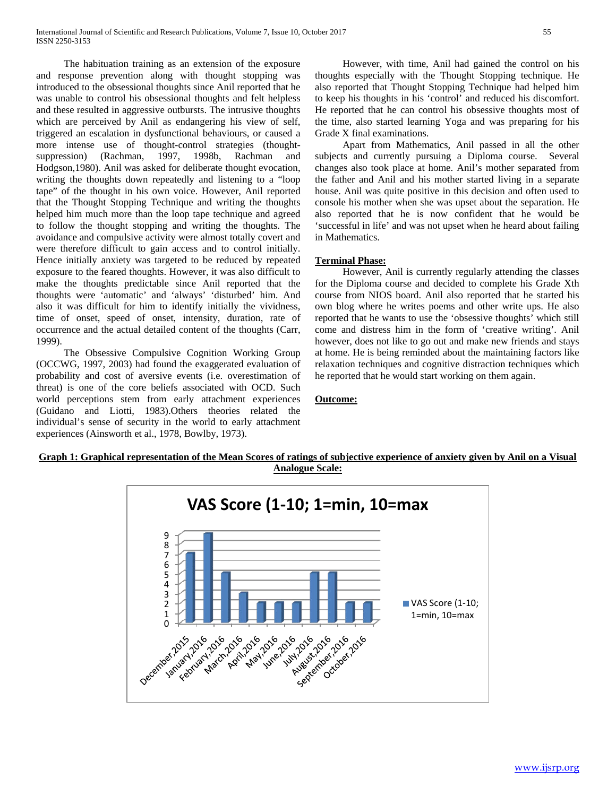The habituation training as an extension of the exposure and response prevention along with thought stopping was introduced to the obsessional thoughts since Anil reported that he was unable to control his obsessional thoughts and felt helpless and these resulted in aggressive outbursts. The intrusive thoughts which are perceived by Anil as endangering his view of self, triggered an escalation in dysfunctional behaviours, or caused a more intense use of thought-control strategies (thoughtsuppression) (Rachman, 1997, 1998b, Rachman and Hodgson,1980). Anil was asked for deliberate thought evocation, writing the thoughts down repeatedly and listening to a "loop tape" of the thought in his own voice. However, Anil reported that the Thought Stopping Technique and writing the thoughts helped him much more than the loop tape technique and agreed to follow the thought stopping and writing the thoughts. The avoidance and compulsive activity were almost totally covert and were therefore difficult to gain access and to control initially. Hence initially anxiety was targeted to be reduced by repeated exposure to the feared thoughts. However, it was also difficult to make the thoughts predictable since Anil reported that the thoughts were 'automatic' and 'always' 'disturbed' him. And also it was difficult for him to identify initially the vividness, time of onset, speed of onset, intensity, duration, rate of occurrence and the actual detailed content of the thoughts (Carr, 1999).

 The Obsessive Compulsive Cognition Working Group (OCCWG, 1997, 2003) had found the exaggerated evaluation of probability and cost of aversive events (i.e. overestimation of threat) is one of the core beliefs associated with OCD. Such world perceptions stem from early attachment experiences (Guidano and Liotti, 1983).Others theories related the individual's sense of security in the world to early attachment experiences (Ainsworth et al., 1978, Bowlby, 1973).

 However, with time, Anil had gained the control on his thoughts especially with the Thought Stopping technique. He also reported that Thought Stopping Technique had helped him to keep his thoughts in his 'control' and reduced his discomfort. He reported that he can control his obsessive thoughts most of the time, also started learning Yoga and was preparing for his Grade X final examinations.

 Apart from Mathematics, Anil passed in all the other subjects and currently pursuing a Diploma course. Several changes also took place at home. Anil's mother separated from the father and Anil and his mother started living in a separate house. Anil was quite positive in this decision and often used to console his mother when she was upset about the separation. He also reported that he is now confident that he would be 'successful in life' and was not upset when he heard about failing in Mathematics.

## **Terminal Phase:**

 However, Anil is currently regularly attending the classes for the Diploma course and decided to complete his Grade Xth course from NIOS board. Anil also reported that he started his own blog where he writes poems and other write ups. He also reported that he wants to use the 'obsessive thoughts' which still come and distress him in the form of 'creative writing'. Anil however, does not like to go out and make new friends and stays at home. He is being reminded about the maintaining factors like relaxation techniques and cognitive distraction techniques which he reported that he would start working on them again.

## **Outcome:**

## **Graph 1: Graphical representation of the Mean Scores of ratings of subjective experience of anxiety given by Anil on a Visual Analogue Scale:**

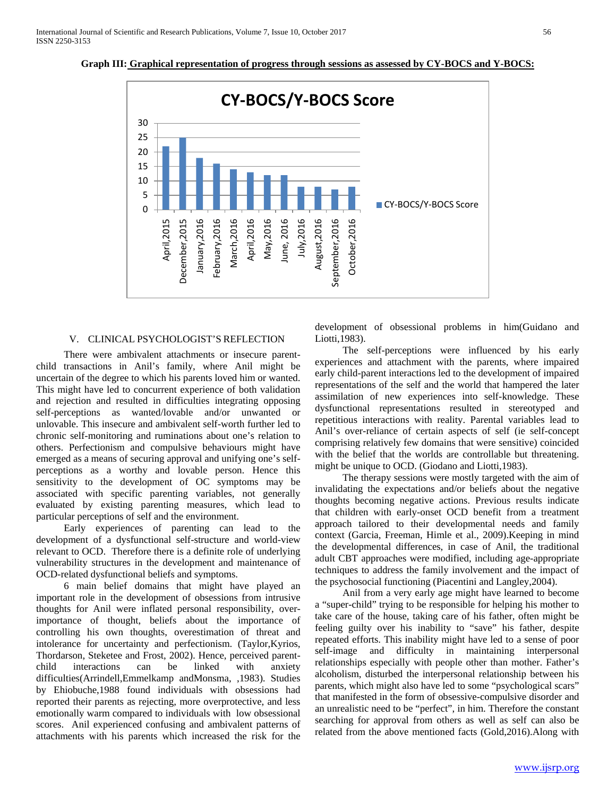

#### **Graph III: Graphical representation of progress through sessions as assessed by CY-BOCS and Y-BOCS:**

#### V. CLINICAL PSYCHOLOGIST'S REFLECTION

 There were ambivalent attachments or insecure parentchild transactions in Anil's family, where Anil might be uncertain of the degree to which his parents loved him or wanted. This might have led to concurrent experience of both validation and rejection and resulted in difficulties integrating opposing self-perceptions as wanted/lovable and/or unwanted or unlovable. This insecure and ambivalent self-worth further led to chronic self-monitoring and ruminations about one's relation to others. Perfectionism and compulsive behaviours might have emerged as a means of securing approval and unifying one's selfperceptions as a worthy and lovable person. Hence this sensitivity to the development of OC symptoms may be associated with specific parenting variables, not generally evaluated by existing parenting measures, which lead to particular perceptions of self and the environment.

 Early experiences of parenting can lead to the development of a dysfunctional self-structure and world-view relevant to OCD. Therefore there is a definite role of underlying vulnerability structures in the development and maintenance of OCD-related dysfunctional beliefs and symptoms.

 6 main belief domains that might have played an important role in the development of obsessions from intrusive thoughts for Anil were inflated personal responsibility, overimportance of thought, beliefs about the importance of controlling his own thoughts, overestimation of threat and intolerance for uncertainty and perfectionism. (Taylor,Kyrios, Thordarson, Steketee and Frost, 2002). Hence, perceived parentchild interactions can be linked with anxiety difficulties(Arrindell,Emmelkamp andMonsma, ,1983). Studies by Ehiobuche,1988 found individuals with obsessions had reported their parents as rejecting, more overprotective, and less emotionally warm compared to individuals with low obsessional scores. Anil experienced confusing and ambivalent patterns of attachments with his parents which increased the risk for the development of obsessional problems in him(Guidano and Liotti,1983).

 The self-perceptions were influenced by his early experiences and attachment with the parents, where impaired early child-parent interactions led to the development of impaired representations of the self and the world that hampered the later assimilation of new experiences into self-knowledge. These dysfunctional representations resulted in stereotyped and repetitious interactions with reality. Parental variables lead to Anil's over-reliance of certain aspects of self (ie self-concept comprising relatively few domains that were sensitive) coincided with the belief that the worlds are controllable but threatening. might be unique to OCD. (Giodano and Liotti,1983).

 The therapy sessions were mostly targeted with the aim of invalidating the expectations and/or beliefs about the negative thoughts becoming negative actions. Previous results indicate that children with early-onset OCD benefit from a treatment approach tailored to their developmental needs and family context (Garcia, Freeman, Himle et al., 2009).Keeping in mind the developmental differences, in case of Anil, the traditional adult CBT approaches were modified, including age-appropriate techniques to address the family involvement and the impact of the psychosocial functioning (Piacentini and Langley,2004).

 Anil from a very early age might have learned to become a "super-child" trying to be responsible for helping his mother to take care of the house, taking care of his father, often might be feeling guilty over his inability to "save" his father, despite repeated efforts. This inability might have led to a sense of poor self-image and difficulty in maintaining interpersonal relationships especially with people other than mother. Father's alcoholism, disturbed the interpersonal relationship between his parents, which might also have led to some "psychological scars" that manifested in the form of obsessive-compulsive disorder and an unrealistic need to be "perfect", in him. Therefore the constant searching for approval from others as well as self can also be related from the above mentioned facts (Gold,2016).Along with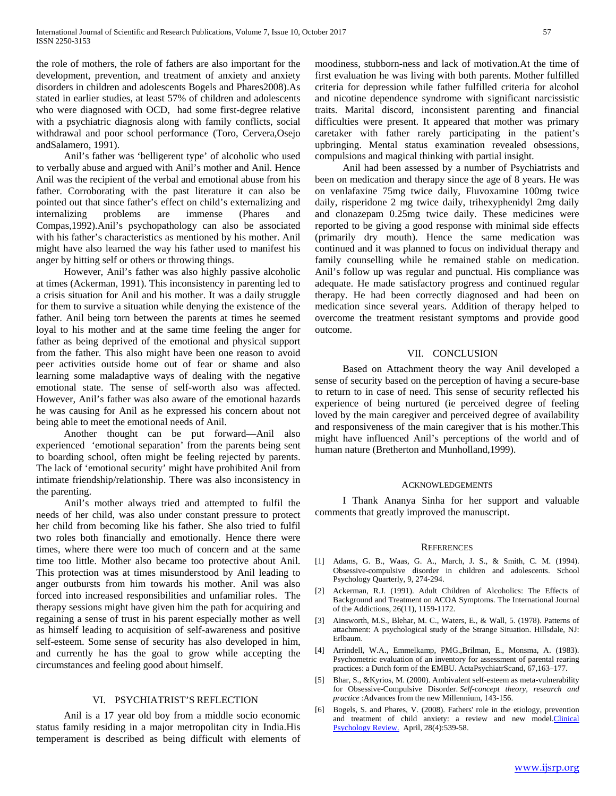the role of mothers, the role of fathers are also important for the development, prevention, and treatment of anxiety and anxiety disorders in children and adolescents Bogels and Phares2008).As stated in earlier studies, at least 57% of children and adolescents who were diagnosed with OCD, had some first-degree relative with a psychiatric diagnosis along with family conflicts, social withdrawal and poor school performance (Toro, Cervera,Osejo andSalamero, 1991).

 Anil's father was 'belligerent type' of alcoholic who used to verbally abuse and argued with Anil's mother and Anil. Hence Anil was the recipient of the verbal and emotional abuse from his father. Corroborating with the past literature it can also be pointed out that since father's effect on child's externalizing and internalizing problems are immense (Phares and Compas,1992).Anil's psychopathology can also be associated with his father's characteristics as mentioned by his mother. Anil might have also learned the way his father used to manifest his anger by hitting self or others or throwing things.

 However, Anil's father was also highly passive alcoholic at times (Ackerman, 1991). This inconsistency in parenting led to a crisis situation for Anil and his mother. It was a daily struggle for them to survive a situation while denying the existence of the father. Anil being torn between the parents at times he seemed loyal to his mother and at the same time feeling the anger for father as being deprived of the emotional and physical support from the father. This also might have been one reason to avoid peer activities outside home out of fear or shame and also learning some maladaptive ways of dealing with the negative emotional state. The sense of self-worth also was affected. However, Anil's father was also aware of the emotional hazards he was causing for Anil as he expressed his concern about not being able to meet the emotional needs of Anil.

 Another thought can be put forward—Anil also experienced 'emotional separation' from the parents being sent to boarding school, often might be feeling rejected by parents. The lack of 'emotional security' might have prohibited Anil from intimate friendship/relationship. There was also inconsistency in the parenting.

 Anil's mother always tried and attempted to fulfil the needs of her child, was also under constant pressure to protect her child from becoming like his father. She also tried to fulfil two roles both financially and emotionally. Hence there were times, where there were too much of concern and at the same time too little. Mother also became too protective about Anil. This protection was at times misunderstood by Anil leading to anger outbursts from him towards his mother. Anil was also forced into increased responsibilities and unfamiliar roles. The therapy sessions might have given him the path for acquiring and regaining a sense of trust in his parent especially mother as well as himself leading to acquisition of self-awareness and positive self-esteem. Some sense of security has also developed in him, and currently he has the goal to grow while accepting the circumstances and feeling good about himself.

## VI. PSYCHIATRIST'S REFLECTION

 Anil is a 17 year old boy from a middle socio economic status family residing in a major metropolitan city in India.His temperament is described as being difficult with elements of moodiness, stubborn-ness and lack of motivation.At the time of first evaluation he was living with both parents. Mother fulfilled criteria for depression while father fulfilled criteria for alcohol and nicotine dependence syndrome with significant narcissistic traits. Marital discord, inconsistent parenting and financial difficulties were present. It appeared that mother was primary caretaker with father rarely participating in the patient's upbringing. Mental status examination revealed obsessions, compulsions and magical thinking with partial insight.

 Anil had been assessed by a number of Psychiatrists and been on medication and therapy since the age of 8 years. He was on venlafaxine 75mg twice daily, Fluvoxamine 100mg twice daily, risperidone 2 mg twice daily, trihexyphenidyl 2mg daily and clonazepam 0.25mg twice daily. These medicines were reported to be giving a good response with minimal side effects (primarily dry mouth). Hence the same medication was continued and it was planned to focus on individual therapy and family counselling while he remained stable on medication. Anil's follow up was regular and punctual. His compliance was adequate. He made satisfactory progress and continued regular therapy. He had been correctly diagnosed and had been on medication since several years. Addition of therapy helped to overcome the treatment resistant symptoms and provide good outcome.

#### VII. CONCLUSION

 Based on Attachment theory the way Anil developed a sense of security based on the perception of having a secure-base to return to in case of need. This sense of security reflected his experience of being nurtured (ie perceived degree of feeling loved by the main caregiver and perceived degree of availability and responsiveness of the main caregiver that is his mother.This might have influenced Anil's perceptions of the world and of human nature (Bretherton and Munholland,1999).

#### ACKNOWLEDGEMENTS

 I Thank Ananya Sinha for her support and valuable comments that greatly improved the manuscript.

#### **REFERENCES**

- [1] Adams, G. B., Waas, G. A., March, J. S., & Smith, C. M. (1994). Obsessive-compulsive disorder in children and adolescents. School Psychology Quarterly, 9, 274-294.
- [2] Ackerman, R.J. (1991). Adult Children of Alcoholics: The Effects of Background and Treatment on ACOA Symptoms. The International Journal of the Addictions, 26(11), 1159-1172.
- [3] Ainsworth, M.S., Blehar, M. C., Waters, E., & Wall, 5. (1978). Patterns of attachment: A psychological study of the Strange Situation. Hillsdale, NJ: Erlbaum.
- [4] Arrindell, W.A., Emmelkamp, PMG.,Brilman, E., Monsma, A. (1983). Psychometric evaluation of an inventory for assessment of parental rearing practices: a Dutch form of the EMBU. ActaPsychiatrScand, 67,163–177.
- [5] Bhar, S., &Kyrios, M. (2000). Ambivalent self-esteem as meta-vulnerability for Obsessive-Compulsive Disorder. *Self-concept theory, research and practice* :Advances from the new Millennium, 143-156.
- [6] Bogels, S. and Phares, V. (2008). Fathers' role in the etiology, prevention and treatment of child anxiety: a review and new model. Clinical [Psychology Review.](https://www.ncbi.nlm.nih.gov/pubmed/17854963) April, 28(4):539-58.